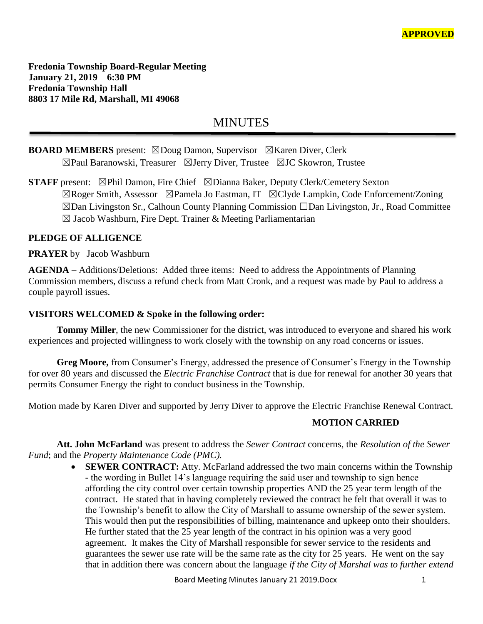**Fredonia Township Board-Regular Meeting January 21, 2019 6:30 PM Fredonia Township Hall 8803 17 Mile Rd, Marshall, MI 49068**

# **MINUTES**

# **BOARD MEMBERS** present: ⊠Doug Damon, Supervisor ⊠Karen Diver, Clerk ☒Paul Baranowski, Treasurer ☒Jerry Diver, Trustee ☒JC Skowron, Trustee

**STAFF** present: ⊠Phil Damon, Fire Chief ⊠Dianna Baker, Deputy Clerk/Cemetery Sexton ☒Roger Smith, Assessor ☒Pamela Jo Eastman, IT ☒Clyde Lampkin, Code Enforcement/Zoning ☒Dan Livingston Sr., Calhoun County Planning Commission ☐Dan Livingston, Jr., Road Committee  $\boxtimes$  Jacob Washburn, Fire Dept. Trainer & Meeting Parliamentarian

## **PLEDGE OF ALLIGENCE**

## **PRAYER** by Jacob Washburn

**AGENDA** – Additions/Deletions: Added three items: Need to address the Appointments of Planning Commission members, discuss a refund check from Matt Cronk, and a request was made by Paul to address a couple payroll issues.

## **VISITORS WELCOMED & Spoke in the following order:**

**Tommy Miller**, the new Commissioner for the district, was introduced to everyone and shared his work experiences and projected willingness to work closely with the township on any road concerns or issues.

**Greg Moore,** from Consumer's Energy, addressed the presence of Consumer's Energy in the Township for over 80 years and discussed the *Electric Franchise Contract* that is due for renewal for another 30 years that permits Consumer Energy the right to conduct business in the Township.

Motion made by Karen Diver and supported by Jerry Diver to approve the Electric Franchise Renewal Contract.

## **MOTION CARRIED**

**Att. John McFarland** was present to address the *Sewer Contract* concerns, the *Resolution of the Sewer Fund*; and the *Property Maintenance Code (PMC).*

> • **SEWER CONTRACT:** Atty. McFarland addressed the two main concerns within the Township - the wording in Bullet 14's language requiring the said user and township to sign hence affording the city control over certain township properties AND the 25 year term length of the contract. He stated that in having completely reviewed the contract he felt that overall it was to the Township's benefit to allow the City of Marshall to assume ownership of the sewer system. This would then put the responsibilities of billing, maintenance and upkeep onto their shoulders. He further stated that the 25 year length of the contract in his opinion was a very good agreement. It makes the City of Marshall responsible for sewer service to the residents and guarantees the sewer use rate will be the same rate as the city for 25 years. He went on the say that in addition there was concern about the language *if the City of Marshal was to further extend*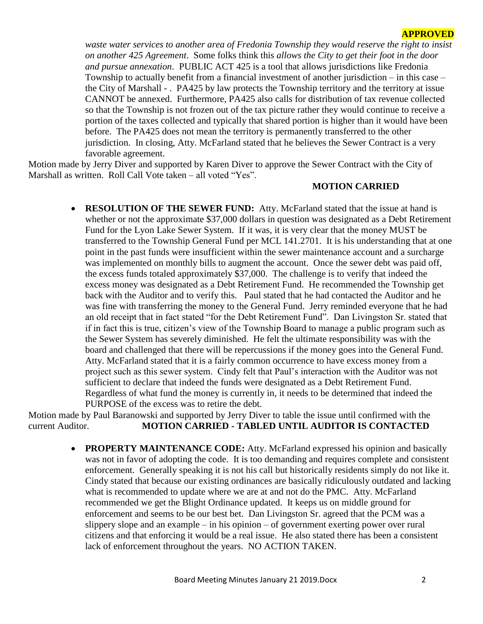#### **APPROVED**

*waste water services to another area of Fredonia Township they would reserve the right to insist on another 425 Agreement*. Some folks think this *allows the City to get their foot in the door and pursue annexation*. PUBLIC ACT 425 is a tool that allows jurisdictions like Fredonia Township to actually benefit from a financial investment of another jurisdiction – in this case – the City of Marshall - . PA425 by law protects the Township territory and the territory at issue CANNOT be annexed. Furthermore, PA425 also calls for distribution of tax revenue collected so that the Township is not frozen out of the tax picture rather they would continue to receive a portion of the taxes collected and typically that shared portion is higher than it would have been before. The PA425 does not mean the territory is permanently transferred to the other jurisdiction. In closing, Atty. McFarland stated that he believes the Sewer Contract is a very favorable agreement.

Motion made by Jerry Diver and supported by Karen Diver to approve the Sewer Contract with the City of Marshall as written. Roll Call Vote taken – all voted "Yes".

#### **MOTION CARRIED**

• **RESOLUTION OF THE SEWER FUND:** Atty. McFarland stated that the issue at hand is whether or not the approximate \$37,000 dollars in question was designated as a Debt Retirement Fund for the Lyon Lake Sewer System. If it was, it is very clear that the money MUST be transferred to the Township General Fund per MCL 141.2701. It is his understanding that at one point in the past funds were insufficient within the sewer maintenance account and a surcharge was implemented on monthly bills to augment the account. Once the sewer debt was paid off, the excess funds totaled approximately \$37,000. The challenge is to verify that indeed the excess money was designated as a Debt Retirement Fund. He recommended the Township get back with the Auditor and to verify this. Paul stated that he had contacted the Auditor and he was fine with transferring the money to the General Fund. Jerry reminded everyone that he had an old receipt that in fact stated "for the Debt Retirement Fund". Dan Livingston Sr. stated that if in fact this is true, citizen's view of the Township Board to manage a public program such as the Sewer System has severely diminished. He felt the ultimate responsibility was with the board and challenged that there will be repercussions if the money goes into the General Fund. Atty. McFarland stated that it is a fairly common occurrence to have excess money from a project such as this sewer system. Cindy felt that Paul's interaction with the Auditor was not sufficient to declare that indeed the funds were designated as a Debt Retirement Fund. Regardless of what fund the money is currently in, it needs to be determined that indeed the PURPOSE of the excess was to retire the debt.

Motion made by Paul Baranowski and supported by Jerry Diver to table the issue until confirmed with the current Auditor. **MOTION CARRIED - TABLED UNTIL AUDITOR IS CONTACTED**

> • **PROPERTY MAINTENANCE CODE:** Atty. McFarland expressed his opinion and basically was not in favor of adopting the code. It is too demanding and requires complete and consistent enforcement. Generally speaking it is not his call but historically residents simply do not like it. Cindy stated that because our existing ordinances are basically ridiculously outdated and lacking what is recommended to update where we are at and not do the PMC. Atty. McFarland recommended we get the Blight Ordinance updated. It keeps us on middle ground for enforcement and seems to be our best bet. Dan Livingston Sr. agreed that the PCM was a slippery slope and an example – in his opinion – of government exerting power over rural citizens and that enforcing it would be a real issue. He also stated there has been a consistent lack of enforcement throughout the years. NO ACTION TAKEN.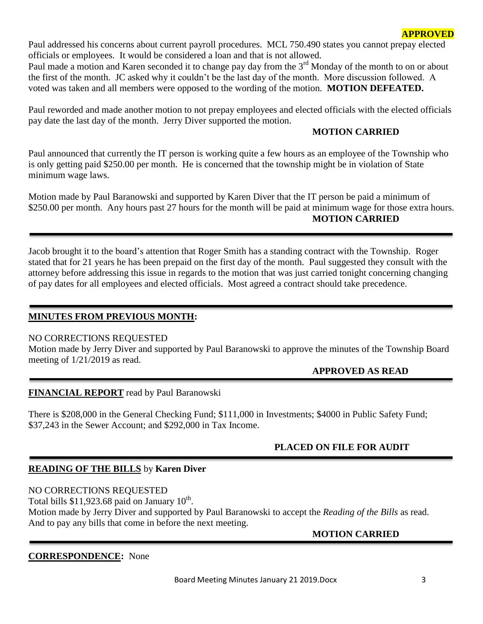Paul addressed his concerns about current payroll procedures. MCL 750.490 states you cannot prepay elected officials or employees. It would be considered a loan and that is not allowed.

Paul made a motion and Karen seconded it to change pay day from the 3<sup>rd</sup> Monday of the month to on or about the first of the month. JC asked why it couldn't be the last day of the month. More discussion followed. A voted was taken and all members were opposed to the wording of the motion. **MOTION DEFEATED.**

Paul reworded and made another motion to not prepay employees and elected officials with the elected officials pay date the last day of the month. Jerry Diver supported the motion.

## **MOTION CARRIED**

Paul announced that currently the IT person is working quite a few hours as an employee of the Township who is only getting paid \$250.00 per month. He is concerned that the township might be in violation of State minimum wage laws.

Motion made by Paul Baranowski and supported by Karen Diver that the IT person be paid a minimum of \$250.00 per month. Any hours past 27 hours for the month will be paid at minimum wage for those extra hours. **MOTION CARRIED**

Jacob brought it to the board's attention that Roger Smith has a standing contract with the Township. Roger stated that for 21 years he has been prepaid on the first day of the month. Paul suggested they consult with the attorney before addressing this issue in regards to the motion that was just carried tonight concerning changing of pay dates for all employees and elected officials. Most agreed a contract should take precedence.

## **MINUTES FROM PREVIOUS MONTH:**

#### NO CORRECTIONS REQUESTED

Motion made by Jerry Diver and supported by Paul Baranowski to approve the minutes of the Township Board meeting of 1/21/2019 as read.

#### **APPROVED AS READ**

#### **FINANCIAL REPORT** read by Paul Baranowski

There is \$208,000 in the General Checking Fund; \$111,000 in Investments; \$4000 in Public Safety Fund; \$37,243 in the Sewer Account; and \$292,000 in Tax Income.

## **PLACED ON FILE FOR AUDIT**

## **READING OF THE BILLS** by **Karen Diver**

NO CORRECTIONS REQUESTED Total bills  $$11,923.68$  paid on January  $10^{th}$ .

Motion made by Jerry Diver and supported by Paul Baranowski to accept the *Reading of the Bills* as read. And to pay any bills that come in before the next meeting.

 **MOTION CARRIED**

#### **CORRESPONDENCE:** None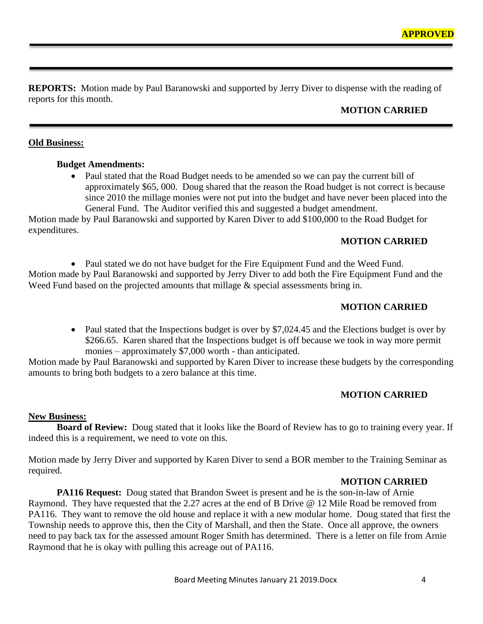**REPORTS:** Motion made by Paul Baranowski and supported by Jerry Diver to dispense with the reading of reports for this month.

# **MOTION CARRIED**

## **Old Business:**

#### **Budget Amendments:**

• Paul stated that the Road Budget needs to be amended so we can pay the current bill of approximately \$65, 000. Doug shared that the reason the Road budget is not correct is because since 2010 the millage monies were not put into the budget and have never been placed into the General Fund. The Auditor verified this and suggested a budget amendment.

Motion made by Paul Baranowski and supported by Karen Diver to add \$100,000 to the Road Budget for expenditures.

## **MOTION CARRIED**

• Paul stated we do not have budget for the Fire Equipment Fund and the Weed Fund. Motion made by Paul Baranowski and supported by Jerry Diver to add both the Fire Equipment Fund and the Weed Fund based on the projected amounts that millage  $\&$  special assessments bring in.

## **MOTION CARRIED**

• Paul stated that the Inspections budget is over by \$7,024.45 and the Elections budget is over by \$266.65. Karen shared that the Inspections budget is off because we took in way more permit monies – approximately \$7,000 worth - than anticipated.

Motion made by Paul Baranowski and supported by Karen Diver to increase these budgets by the corresponding amounts to bring both budgets to a zero balance at this time.

## **MOTION CARRIED**

#### **New Business:**

**Board of Review:** Doug stated that it looks like the Board of Review has to go to training every year. If indeed this is a requirement, we need to vote on this.

Motion made by Jerry Diver and supported by Karen Diver to send a BOR member to the Training Seminar as required.

#### **MOTION CARRIED**

**PA116 Request:** Doug stated that Brandon Sweet is present and he is the son-in-law of Arnie Raymond. They have requested that the 2.27 acres at the end of B Drive @ 12 Mile Road be removed from PA116. They want to remove the old house and replace it with a new modular home. Doug stated that first the Township needs to approve this, then the City of Marshall, and then the State. Once all approve, the owners need to pay back tax for the assessed amount Roger Smith has determined. There is a letter on file from Arnie Raymond that he is okay with pulling this acreage out of PA116.